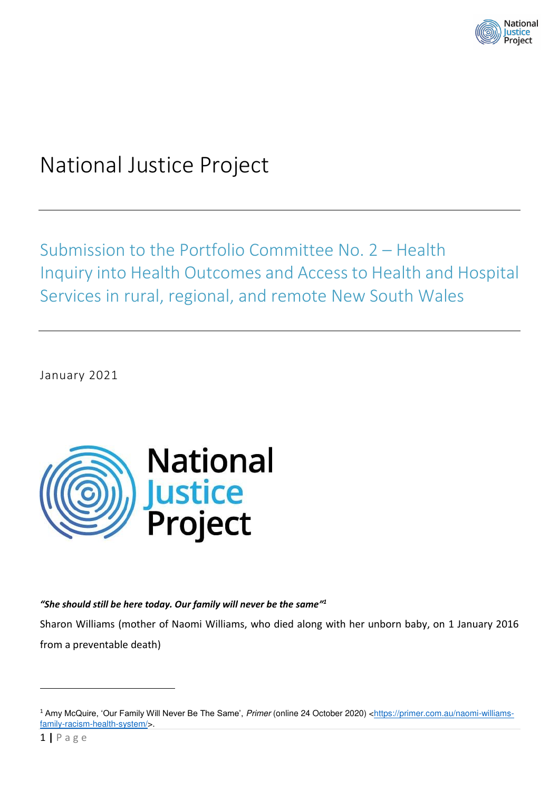

# National Justice Project

Submission to the Portfolio Committee No. 2 – Health Inquiry into Health Outcomes and Access to Health and Hospital Services in rural, regional, and remote New South Wales

January 2021



#### *"She should still be here today. Our family will never be the same"<sup>1</sup>*

Sharon Williams (mother of Naomi Williams, who died along with her unborn baby, on 1 January 2016 from a preventable death)

<sup>&</sup>lt;sup>1</sup> Amy McQuire, 'Our Family Will Never Be The Same', Primer (online 24 October 2020) [<https://primer.com.au/naomi-williams](https://primer.com.au/naomi-williams-family-racism-health-system/)[family-racism-health-system/>](https://primer.com.au/naomi-williams-family-racism-health-system/).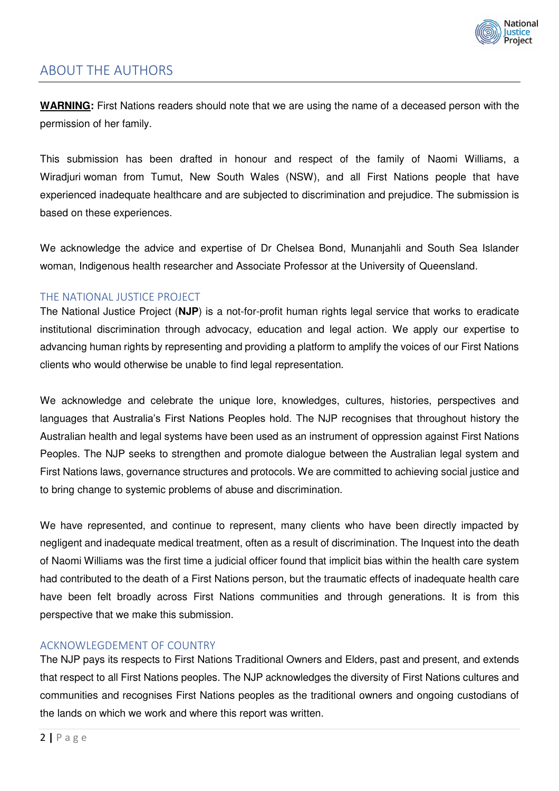

## ABOUT THE AUTHORS

**WARNING:** First Nations readers should note that we are using the name of a deceased person with the permission of her family.

This submission has been drafted in honour and respect of the family of Naomi Williams, a Wiradjuri woman from Tumut, New South Wales (NSW), and all First Nations people that have experienced inadequate healthcare and are subjected to discrimination and prejudice. The submission is based on these experiences.

We acknowledge the advice and expertise of Dr Chelsea Bond, Munanjahli and South Sea Islander woman, Indigenous health researcher and Associate Professor at the University of Queensland.

#### THE NATIONAL JUSTICE PROJECT

The National Justice Project (**NJP**) is a not-for-profit human rights legal service that works to eradicate institutional discrimination through advocacy, education and legal action. We apply our expertise to advancing human rights by representing and providing a platform to amplify the voices of our First Nations clients who would otherwise be unable to find legal representation.

We acknowledge and celebrate the unique lore, knowledges, cultures, histories, perspectives and languages that Australia's First Nations Peoples hold. The NJP recognises that throughout history the Australian health and legal systems have been used as an instrument of oppression against First Nations Peoples. The NJP seeks to strengthen and promote dialogue between the Australian legal system and First Nations laws, governance structures and protocols. We are committed to achieving social justice and to bring change to systemic problems of abuse and discrimination.

We have represented, and continue to represent, many clients who have been directly impacted by negligent and inadequate medical treatment, often as a result of discrimination. The Inquest into the death of Naomi Williams was the first time a judicial officer found that implicit bias within the health care system had contributed to the death of a First Nations person, but the traumatic effects of inadequate health care have been felt broadly across First Nations communities and through generations. It is from this perspective that we make this submission.

#### ACKNOWLEGDEMENT OF COUNTRY

The NJP pays its respects to First Nations Traditional Owners and Elders, past and present, and extends that respect to all First Nations peoples. The NJP acknowledges the diversity of First Nations cultures and communities and recognises First Nations peoples as the traditional owners and ongoing custodians of the lands on which we work and where this report was written.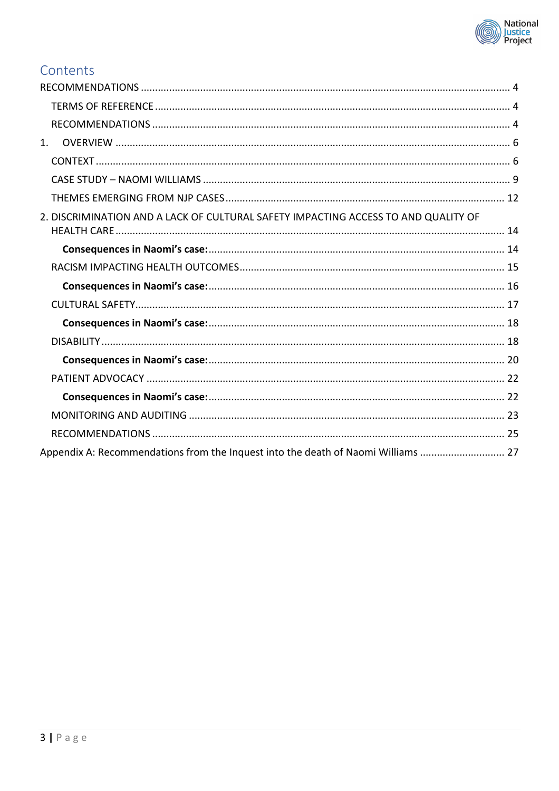

# Contents

| 1.                                                                                 |  |
|------------------------------------------------------------------------------------|--|
|                                                                                    |  |
|                                                                                    |  |
|                                                                                    |  |
| 2. DISCRIMINATION AND A LACK OF CULTURAL SAFETY IMPACTING ACCESS TO AND QUALITY OF |  |
|                                                                                    |  |
|                                                                                    |  |
|                                                                                    |  |
|                                                                                    |  |
|                                                                                    |  |
|                                                                                    |  |
|                                                                                    |  |
|                                                                                    |  |
|                                                                                    |  |
|                                                                                    |  |
|                                                                                    |  |
| Appendix A: Recommendations from the Inquest into the death of Naomi Williams  27  |  |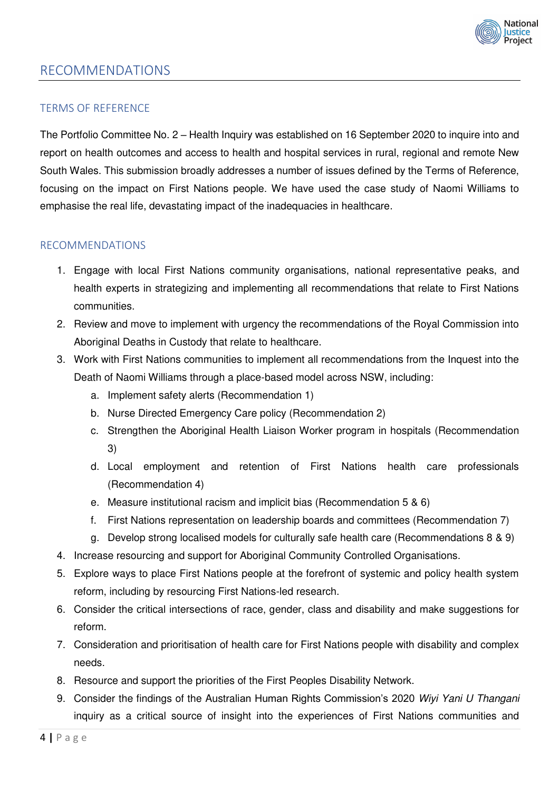

## <span id="page-3-0"></span>RECOMMENDATIONS

#### <span id="page-3-1"></span>TERMS OF REFERENCE

The Portfolio Committee No. 2 – Health Inquiry was established on 16 September 2020 to inquire into and report on health outcomes and access to health and hospital services in rural, regional and remote New South Wales. This submission broadly addresses a number of issues defined by the Terms of Reference, focusing on the impact on First Nations people. We have used the case study of Naomi Williams to emphasise the real life, devastating impact of the inadequacies in healthcare.

#### <span id="page-3-2"></span>RECOMMENDATIONS

- 1. Engage with local First Nations community organisations, national representative peaks, and health experts in strategizing and implementing all recommendations that relate to First Nations communities.
- 2. Review and move to implement with urgency the recommendations of the Royal Commission into Aboriginal Deaths in Custody that relate to healthcare.
- 3. Work with First Nations communities to implement all recommendations from the Inquest into the Death of Naomi Williams through a place-based model across NSW, including:
	- a. Implement safety alerts (Recommendation 1)
	- b. Nurse Directed Emergency Care policy (Recommendation 2)
	- c. Strengthen the Aboriginal Health Liaison Worker program in hospitals (Recommendation 3)
	- d. Local employment and retention of First Nations health care professionals (Recommendation 4)
	- e. Measure institutional racism and implicit bias (Recommendation 5 & 6)
	- f. First Nations representation on leadership boards and committees (Recommendation 7)
	- g. Develop strong localised models for culturally safe health care (Recommendations 8 & 9)
- 4. Increase resourcing and support for Aboriginal Community Controlled Organisations.
- 5. Explore ways to place First Nations people at the forefront of systemic and policy health system reform, including by resourcing First Nations-led research.
- 6. Consider the critical intersections of race, gender, class and disability and make suggestions for reform.
- 7. Consideration and prioritisation of health care for First Nations people with disability and complex needs.
- 8. Resource and support the priorities of the First Peoples Disability Network.
- 9. Consider the findings of the Australian Human Rights Commission's 2020 *Wiyi Yani U Thangani* inquiry as a critical source of insight into the experiences of First Nations communities and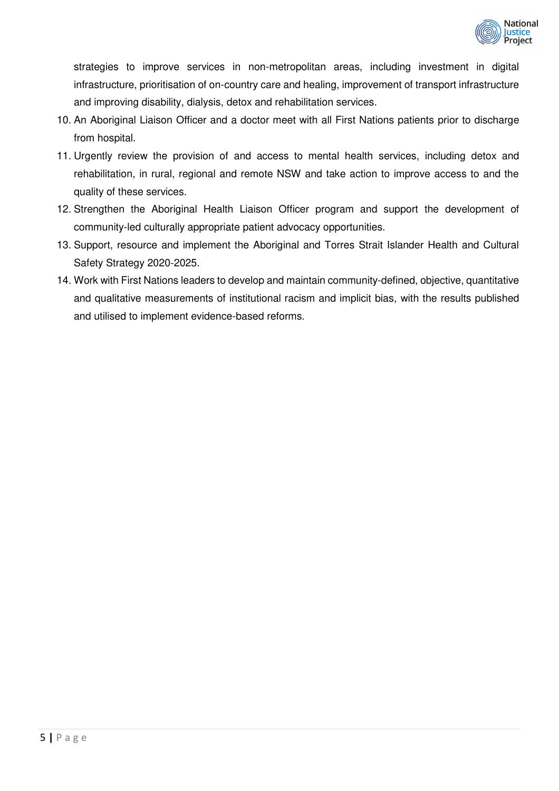

strategies to improve services in non-metropolitan areas, including investment in digital infrastructure, prioritisation of on-country care and healing, improvement of transport infrastructure and improving disability, dialysis, detox and rehabilitation services.

- 10. An Aboriginal Liaison Officer and a doctor meet with all First Nations patients prior to discharge from hospital.
- 11. Urgently review the provision of and access to mental health services, including detox and rehabilitation, in rural, regional and remote NSW and take action to improve access to and the quality of these services.
- 12. Strengthen the Aboriginal Health Liaison Officer program and support the development of community-led culturally appropriate patient advocacy opportunities.
- 13. Support, resource and implement the Aboriginal and Torres Strait Islander Health and Cultural Safety Strategy 2020-2025.
- 14. Work with First Nations leaders to develop and maintain community-defined, objective, quantitative and qualitative measurements of institutional racism and implicit bias, with the results published and utilised to implement evidence-based reforms.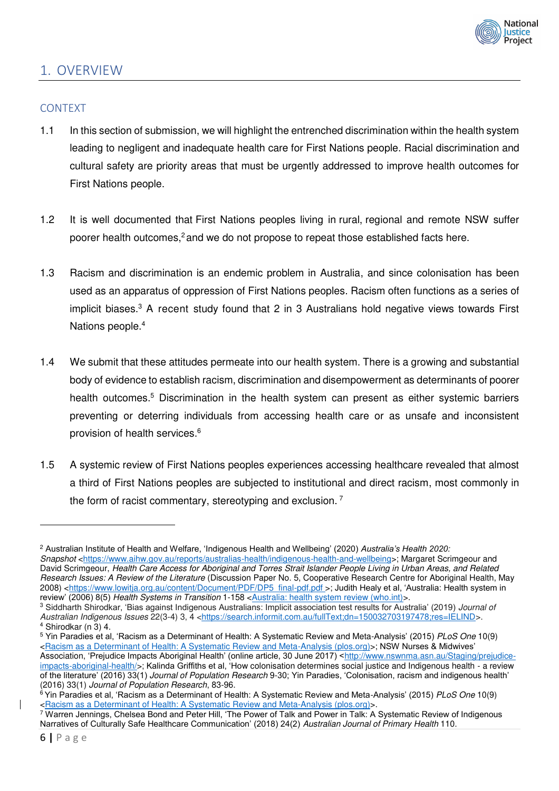

## <span id="page-5-0"></span>1. OVERVIEW

#### <span id="page-5-1"></span>CONTEXT

- 1.1 In this section of submission, we will highlight the entrenched discrimination within the health system leading to negligent and inadequate health care for First Nations people. Racial discrimination and cultural safety are priority areas that must be urgently addressed to improve health outcomes for First Nations people.
- 1.2 It is well documented that First Nations peoples living in rural, regional and remote NSW suffer poorer health outcomes,<sup>2</sup> and we do not propose to repeat those established facts here.
- 1.3 Racism and discrimination is an endemic problem in Australia, and since colonisation has been used as an apparatus of oppression of First Nations peoples. Racism often functions as a series of implicit biases.<sup>3</sup> A recent study found that 2 in 3 Australians hold negative views towards First Nations people.<sup>4</sup>
- 1.4 We submit that these attitudes permeate into our health system. There is a growing and substantial body of evidence to establish racism, discrimination and disempowerment as determinants of poorer health outcomes.<sup>5</sup> Discrimination in the health system can present as either systemic barriers preventing or deterring individuals from accessing health care or as unsafe and inconsistent provision of health services.<sup>6</sup>
- 1.5 A systemic review of First Nations peoples experiences accessing healthcare revealed that almost a third of First Nations peoples are subjected to institutional and direct racism, most commonly in the form of racist commentary, stereotyping and exclusion.<sup>7</sup>

 $\overline{a}$ 

<sup>5</sup> Yin Paradies et al, 'Racism as a Determinant of Health: A Systematic Review and Meta-Analysis' (2015) *PLoS One* 10(9) [<Racism as a Determinant of Health: A Systematic Review and Meta-Analysis \(plos.org\)>](https://journals.plos.org/plosone/article?id=10.1371/journal.pone.0138511); NSW Nurses & Midwives' Association, 'Prejudice Impacts Aboriginal Health' (online article, 30 June 2017) <[http://www.nswnma.asn.au/Staging/prejudice-](http://www.nswnma.asn.au/Staging/prejudice-impacts-aboriginal-health/)

<sup>2</sup> Australian Institute of Health and Welfare, 'Indigenous Health and Wellbeing' (2020) *Australia's Health 2020: Snapshot* [<https://www.aihw.gov.au/reports/australias-health/indigenous-health-and-wellbeing>](https://www.aihw.gov.au/reports/australias-health/indigenous-health-and-wellbeing); Margaret Scrimgeour and David Scrimgeour, *Health Care Access for Aboriginal and Torres Strait Islander People Living in Urban Areas, and Related Research Issues: A Review of the Literature* (Discussion Paper No. 5, Cooperative Research Centre for Aboriginal Health, May

<sup>2008)</sup> [<https://www.lowitja.org.au/content/Document/PDF/DP5\\_final-pdf.pdf](https://www.lowitja.org.au/content/Document/PDF/DP5_final-pdf.pdf) >; Judith Healy et al, 'Australia: Health system in review' (2006) 8(5) *Health Systems in Transition* 1-158 [<Australia: health system review \(who.int\)>](https://apps.who.int/iris/handle/10665/107803). <sup>3</sup> Siddharth Shirodkar, 'Bias against Indigenous Australians: Implicit association test results for Australia' (2019) *Journal of Australian Indigenous Issues* 22(3-4) 3, 4 [<https://search.informit.com.au/fullText;dn=150032703197478;res=IELIND>](https://search.informit.com.au/fullText;dn=150032703197478;res=IELIND).

<sup>4</sup> Shirodkar (n 3) 4.

[impacts-aboriginal-health/>](http://www.nswnma.asn.au/Staging/prejudice-impacts-aboriginal-health/); Kalinda Griffiths et al, 'How colonisation determines social justice and Indigenous health - a review of the literature' (2016) 33(1) *Journal of Population Research* 9-30; Yin Paradies, 'Colonisation, racism and indigenous health' (2016) 33(1) *Journal of Population Research*, 83-96.

<sup>6</sup>Yin Paradies et al, 'Racism as a Determinant of Health: A Systematic Review and Meta-Analysis' (2015) *PLoS One* 10(9) [<Racism as a Determinant of Health: A Systematic Review and Meta-Analysis \(plos.org\)>](https://journals.plos.org/plosone/article?id=10.1371/journal.pone.0138511).

 $^7$  Warren Jennings, Chelsea Bond and Peter Hill, 'The Power of Talk and Power in Talk: A Systematic Review of Indigenous Narratives of Culturally Safe Healthcare Communication' (2018) 24(2) *Australian Journal of Primary Health* 110.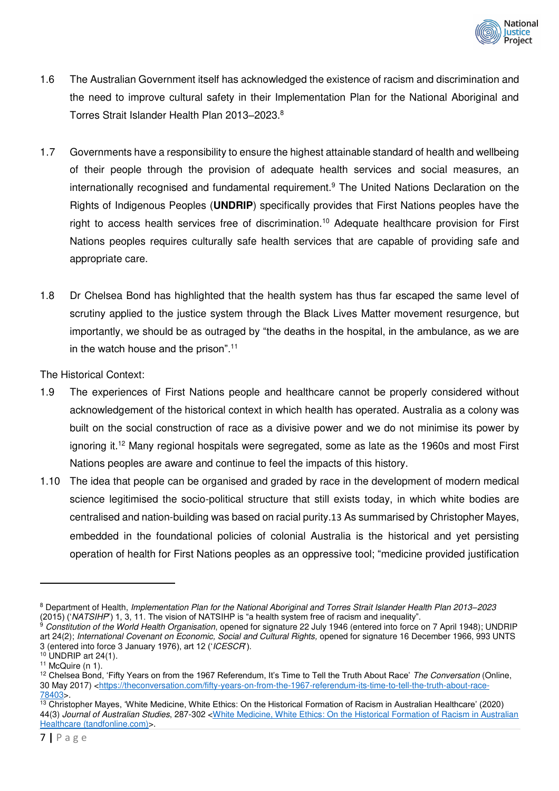

- 1.6 The Australian Government itself has acknowledged the existence of racism and discrimination and the need to improve cultural safety in their Implementation Plan for the National Aboriginal and Torres Strait Islander Health Plan 2013–2023.<sup>8</sup>
- 1.7 Governments have a responsibility to ensure the highest attainable standard of health and wellbeing of their people through the provision of adequate health services and social measures, an internationally recognised and fundamental requirement.<sup>9</sup> The United Nations Declaration on the Rights of Indigenous Peoples (**UNDRIP**) specifically provides that First Nations peoples have the right to access health services free of discrimination.<sup>10</sup> Adequate healthcare provision for First Nations peoples requires culturally safe health services that are capable of providing safe and appropriate care.
- 1.8 Dr Chelsea Bond has highlighted that the health system has thus far escaped the same level of scrutiny applied to the justice system through the Black Lives Matter movement resurgence, but importantly, we should be as outraged by "the deaths in the hospital, in the ambulance, as we are in the watch house and the prison". 11

The Historical Context:

- 1.9 The experiences of First Nations people and healthcare cannot be properly considered without acknowledgement of the historical context in which health has operated. Australia as a colony was built on the social construction of race as a divisive power and we do not minimise its power by ignoring it.<sup>12</sup> Many regional hospitals were segregated, some as late as the 1960s and most First Nations peoples are aware and continue to feel the impacts of this history.
- 1.10 The idea that people can be organised and graded by race in the development of modern medical science legitimised the socio-political structure that still exists today, in which white bodies are centralised and nation-building was based on racial purity.13 As summarised by Christopher Mayes, embedded in the foundational policies of colonial Australia is the historical and yet persisting operation of health for First Nations peoples as an oppressive tool; "medicine provided justification

<sup>8</sup> Department of Health, *Implementation Plan for the National Aboriginal and Torres Strait Islander Health Plan 2013–2023* (2015) ('*NATSIHP*') 1, 3, 11. The vision of NATSIHP is "a health system free of racism and inequality".

<sup>9</sup> *Constitution of the World Health Organisation*, opened for signature 22 July 1946 (entered into force on 7 April 1948); UNDRIP art 24(2); *International Covenant on Economic, Social and Cultural Rights,* opened for signature 16 December 1966, 993 UNTS 3 (entered into force 3 January 1976), art 12 ('*ICESCR*').

<sup>10</sup> UNDRIP art 24(1).

 $11$  McQuire (n 1).

<sup>12</sup> Chelsea Bond, 'Fifty Years on from the 1967 Referendum, It's Time to Tell the Truth About Race' *The Conversation* (Online, 30 May 2017) [<https://theconversation.com/fifty-years-on-from-the-1967-referendum-its-time-to-tell-the-truth-about-race-](https://theconversation.com/fifty-years-on-from-the-1967-referendum-its-time-to-tell-the-truth-about-race-78403)[78403>](https://theconversation.com/fifty-years-on-from-the-1967-referendum-its-time-to-tell-the-truth-about-race-78403).

<sup>&</sup>lt;sup>13</sup> Christopher Mayes, 'White Medicine, White Ethics: On the Historical Formation of Racism in Australian Healthcare' (2020) 44(3) *Journal of Australian Studies*, 287-302 [<White Medicine, White Ethics: On the Historical Formation of Racism in Australian](https://www.tandfonline.com/doi/pdf/10.1080/14443058.2020.1796754?needAccess=true&)  [Healthcare \(tandfonline.com\)>](https://www.tandfonline.com/doi/pdf/10.1080/14443058.2020.1796754?needAccess=true&).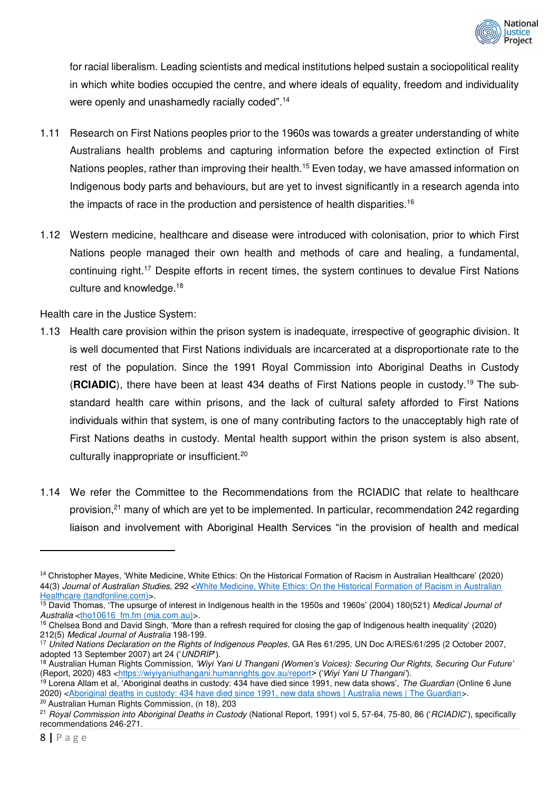

for racial liberalism. Leading scientists and medical institutions helped sustain a sociopolitical reality in which white bodies occupied the centre, and where ideals of equality, freedom and individuality were openly and unashamedly racially coded".<sup>14</sup>

- 1.11 Research on First Nations peoples prior to the 1960s was towards a greater understanding of white Australians health problems and capturing information before the expected extinction of First Nations peoples, rather than improving their health.<sup>15</sup> Even today, we have amassed information on Indigenous body parts and behaviours, but are yet to invest significantly in a research agenda into the impacts of race in the production and persistence of health disparities.<sup>16</sup>
- 1.12 Western medicine, healthcare and disease were introduced with colonisation, prior to which First Nations people managed their own health and methods of care and healing, a fundamental, continuing right.<sup>17</sup> Despite efforts in recent times, the system continues to devalue First Nations culture and knowledge.<sup>18</sup>

Health care in the Justice System:

- 1.13 Health care provision within the prison system is inadequate, irrespective of geographic division. It is well documented that First Nations individuals are incarcerated at a disproportionate rate to the rest of the population. Since the 1991 Royal Commission into Aboriginal Deaths in Custody (**RCIADIC**), there have been at least 434 deaths of First Nations people in custody.<sup>19</sup> The substandard health care within prisons, and the lack of cultural safety afforded to First Nations individuals within that system, is one of many contributing factors to the unacceptably high rate of First Nations deaths in custody. Mental health support within the prison system is also absent, culturally inappropriate or insufficient.<sup>20</sup>
- 1.14 We refer the Committee to the Recommendations from the RCIADIC that relate to healthcare provision,<sup>21</sup> many of which are yet to be implemented. In particular, recommendation 242 regarding liaison and involvement with Aboriginal Health Services "in the provision of health and medical

<sup>19</sup> Lorena Allam et al, 'Aboriginal deaths in custody: 434 have died since 1991, new data shows', *The Guardian* (Online 6 June 2020) [<Aboriginal deaths in custody: 434 have died since 1991, new data shows | Australia news | The Guardian>](https://www.theguardian.com/australia-news/2020/jun/06/aboriginal-deaths-in-custody-434-have-died-since-1991-new-data-shows). <sup>20</sup> Australian Human Rights Commission, (n 18), 203

<sup>14</sup> Christopher Mayes, 'White Medicine, White Ethics: On the Historical Formation of Racism in Australian Healthcare' (2020) 44(3) *Journal of Australian Studies*, 292 [<White Medicine, White Ethics: On the Historical Formation of Racism in Australian](https://www.tandfonline.com/doi/pdf/10.1080/14443058.2020.1796754?needAccess=true&)  [Healthcare \(tandfonline.com\)>](https://www.tandfonline.com/doi/pdf/10.1080/14443058.2020.1796754?needAccess=true&).

<sup>15</sup> David Thomas, 'The upsurge of interest in Indigenous health in the 1950s and 1960s' (2004) 180(521) *Medical Journal of*  Australia [<tho10616\\_fm.fm \(mja.com.au\)>](https://www.mja.com.au/system/files/issues/180_10_170504/tho10616_fm.pdf).

<sup>16</sup> Chelsea Bond and David Singh, 'More than a refresh required for closing the gap of Indigenous health inequality' (2020) 212(5) *Medical Journal of Australia* 198-199.

<sup>17</sup> *United Nations Declaration on the Rights of Indigenous Peoples*, GA Res 61/295, UN Doc A/RES/61/295 (2 October 2007, adopted 13 September 2007) art 24 ('*UNDRIP*').

<sup>18</sup> Australian Human Rights Commission, *'Wiyi Yani U Thangani (Women's Voices): Securing Our Rights, Securing Our Future'* (Report, 2020) 483 [<https://wiyiyaniuthangani.humanrights.gov.au/report](https://wiyiyaniuthangani.humanrights.gov.au/report)> ('*Wiyi Yani U Thangani'*).

<sup>21</sup> *Royal Commission into Aboriginal Deaths in Custody* (National Report, 1991) vol 5, 57-64, 75-80, 86 ('*RCIADIC*'), specifically recommendations 246-271.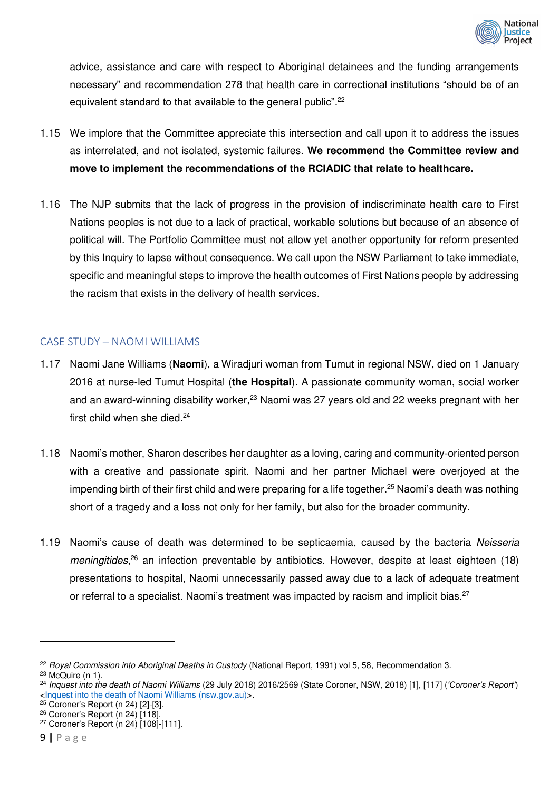

advice, assistance and care with respect to Aboriginal detainees and the funding arrangements necessary" and recommendation 278 that health care in correctional institutions "should be of an equivalent standard to that available to the general public".<sup>22</sup>

- 1.15 We implore that the Committee appreciate this intersection and call upon it to address the issues as interrelated, and not isolated, systemic failures. **We recommend the Committee review and move to implement the recommendations of the RCIADIC that relate to healthcare.**
- 1.16 The NJP submits that the lack of progress in the provision of indiscriminate health care to First Nations peoples is not due to a lack of practical, workable solutions but because of an absence of political will. The Portfolio Committee must not allow yet another opportunity for reform presented by this Inquiry to lapse without consequence. We call upon the NSW Parliament to take immediate, specific and meaningful steps to improve the health outcomes of First Nations people by addressing the racism that exists in the delivery of health services.

#### <span id="page-8-0"></span>CASE STUDY – NAOMI WILLIAMS

- 1.17 Naomi Jane Williams (**Naomi**), a Wiradjuri woman from Tumut in regional NSW, died on 1 January 2016 at nurse-led Tumut Hospital (**the Hospital**). A passionate community woman, social worker and an award-winning disability worker,<sup>23</sup> Naomi was 27 years old and 22 weeks pregnant with her first child when she died. $24$
- 1.18 Naomi's mother, Sharon describes her daughter as a loving, caring and community-oriented person with a creative and passionate spirit. Naomi and her partner Michael were overjoyed at the impending birth of their first child and were preparing for a life together.<sup>25</sup> Naomi's death was nothing short of a tragedy and a loss not only for her family, but also for the broader community.
- 1.19 Naomi's cause of death was determined to be septicaemia, caused by the bacteria *Neisseria meningitides*, <sup>26</sup> an infection preventable by antibiotics. However, despite at least eighteen (18) presentations to hospital, Naomi unnecessarily passed away due to a lack of adequate treatment or referral to a specialist. Naomi's treatment was impacted by racism and implicit bias.<sup>27</sup>

<sup>22</sup> *Royal Commission into Aboriginal Deaths in Custody* (National Report, 1991) vol 5, 58, Recommendation 3.  $23$  McQuire (n 1).

<sup>24</sup> *Inquest into the death of Naomi Williams* (29 July 2018) 2016/2569 (State Coroner, NSW, 2018) [1], [117] (*'Coroner's Report'*) [<Inquest into the death of Naomi Williams \(nsw.gov.au\)>](https://coroners.nsw.gov.au/documents/findings/2019/Naomi%20Williams%20findings.pdf).

<sup>25</sup> Coroner's Report (n 24) [2]-[3].

<sup>26</sup> Coroner's Report (n 24) [118].

<sup>27</sup> Coroner's Report (n 24) [108]-[111].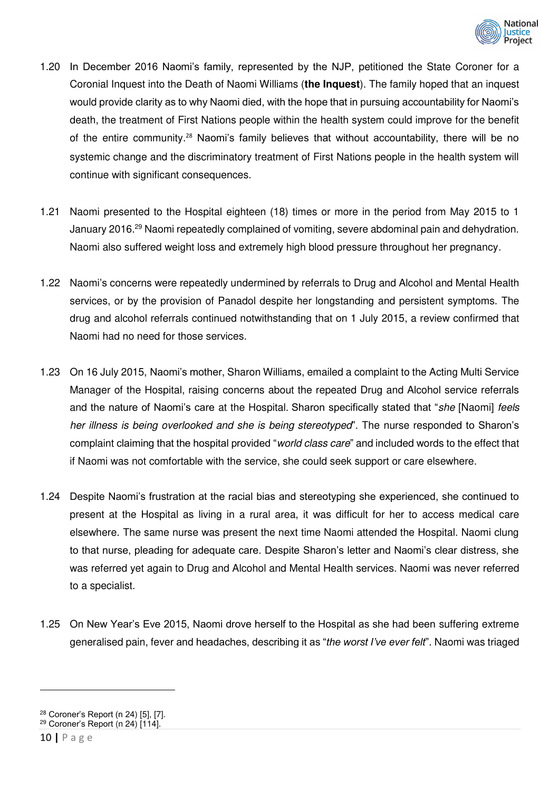

- 1.20 In December 2016 Naomi's family, represented by the NJP, petitioned the State Coroner for a Coronial Inquest into the Death of Naomi Williams (**the Inquest**). The family hoped that an inquest would provide clarity as to why Naomi died, with the hope that in pursuing accountability for Naomi's death, the treatment of First Nations people within the health system could improve for the benefit of the entire community.<sup>28</sup> Naomi's family believes that without accountability, there will be no systemic change and the discriminatory treatment of First Nations people in the health system will continue with significant consequences.
- 1.21 Naomi presented to the Hospital eighteen (18) times or more in the period from May 2015 to 1 January 2016.<sup>29</sup> Naomi repeatedly complained of vomiting, severe abdominal pain and dehydration. Naomi also suffered weight loss and extremely high blood pressure throughout her pregnancy.
- 1.22 Naomi's concerns were repeatedly undermined by referrals to Drug and Alcohol and Mental Health services, or by the provision of Panadol despite her longstanding and persistent symptoms. The drug and alcohol referrals continued notwithstanding that on 1 July 2015, a review confirmed that Naomi had no need for those services.
- 1.23 On 16 July 2015, Naomi's mother, Sharon Williams, emailed a complaint to the Acting Multi Service Manager of the Hospital, raising concerns about the repeated Drug and Alcohol service referrals and the nature of Naomi's care at the Hospital. Sharon specifically stated that "*she* [Naomi] *feels her illness is being overlooked and she is being stereotyped*". The nurse responded to Sharon's complaint claiming that the hospital provided "*world class care*" and included words to the effect that if Naomi was not comfortable with the service, she could seek support or care elsewhere.
- 1.24 Despite Naomi's frustration at the racial bias and stereotyping she experienced, she continued to present at the Hospital as living in a rural area, it was difficult for her to access medical care elsewhere. The same nurse was present the next time Naomi attended the Hospital. Naomi clung to that nurse, pleading for adequate care. Despite Sharon's letter and Naomi's clear distress, she was referred yet again to Drug and Alcohol and Mental Health services. Naomi was never referred to a specialist.
- 1.25 On New Year's Eve 2015, Naomi drove herself to the Hospital as she had been suffering extreme generalised pain, fever and headaches, describing it as "*the worst I've ever felt*". Naomi was triaged

<sup>28</sup> Coroner's Report (n 24) [5], [7].

 $29$  Coroner's Report (n 24) [114].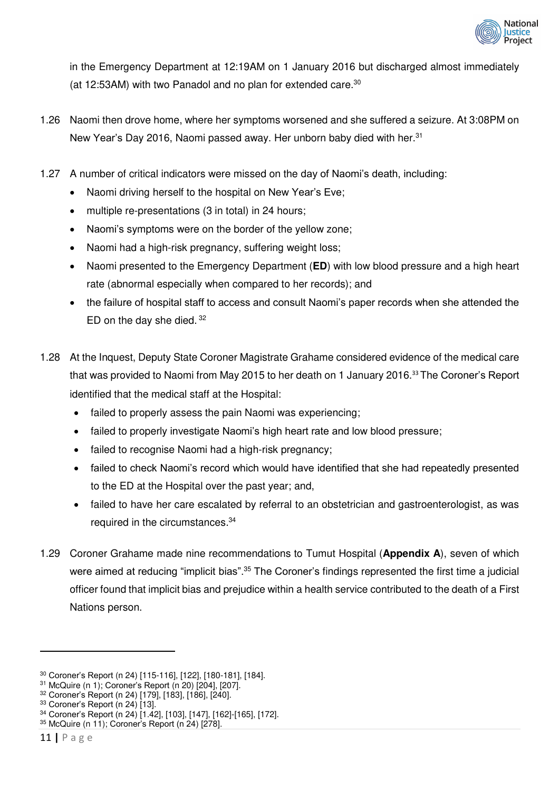

in the Emergency Department at 12:19AM on 1 January 2016 but discharged almost immediately (at 12:53AM) with two Panadol and no plan for extended care.  $30$ 

- 1.26 Naomi then drove home, where her symptoms worsened and she suffered a seizure. At 3:08PM on New Year's Day 2016, Naomi passed away. Her unborn baby died with her.<sup>31</sup>
- 1.27 A number of critical indicators were missed on the day of Naomi's death, including:
	- Naomi driving herself to the hospital on New Year's Eve;
	- multiple re-presentations (3 in total) in 24 hours;
	- Naomi's symptoms were on the border of the yellow zone;
	- Naomi had a high-risk pregnancy, suffering weight loss;
	- Naomi presented to the Emergency Department (**ED**) with low blood pressure and a high heart rate (abnormal especially when compared to her records); and
	- the failure of hospital staff to access and consult Naomi's paper records when she attended the ED on the day she died. <sup>32</sup>
- 1.28 At the Inquest, Deputy State Coroner Magistrate Grahame considered evidence of the medical care that was provided to Naomi from May 2015 to her death on 1 January 2016.<sup>33</sup>The Coroner's Report identified that the medical staff at the Hospital:
	- failed to properly assess the pain Naomi was experiencing;
	- failed to properly investigate Naomi's high heart rate and low blood pressure;
	- failed to recognise Naomi had a high-risk pregnancy;
	- failed to check Naomi's record which would have identified that she had repeatedly presented to the ED at the Hospital over the past year; and,
	- failed to have her care escalated by referral to an obstetrician and gastroenterologist, as was required in the circumstances.<sup>34</sup>
- 1.29 Coroner Grahame made nine recommendations to Tumut Hospital (**Appendix A**), seven of which were aimed at reducing "implicit bias".<sup>35</sup> The Coroner's findings represented the first time a judicial officer found that implicit bias and prejudice within a health service contributed to the death of a First Nations person.

<sup>33</sup> Coroner's Report (n 24) [13].

<sup>30</sup> Coroner's Report (n 24) [115-116], [122], [180-181], [184].

<sup>31</sup> McQuire (n 1); Coroner's Report (n 20) [204], [207].

<sup>32</sup> Coroner's Report (n 24) [179], [183], [186], [240].

<sup>34</sup> Coroner's Report (n 24) [1.42], [103], [147], [162]-[165], [172].

<sup>35</sup> McQuire (n 11); Coroner's Report (n 24) [278].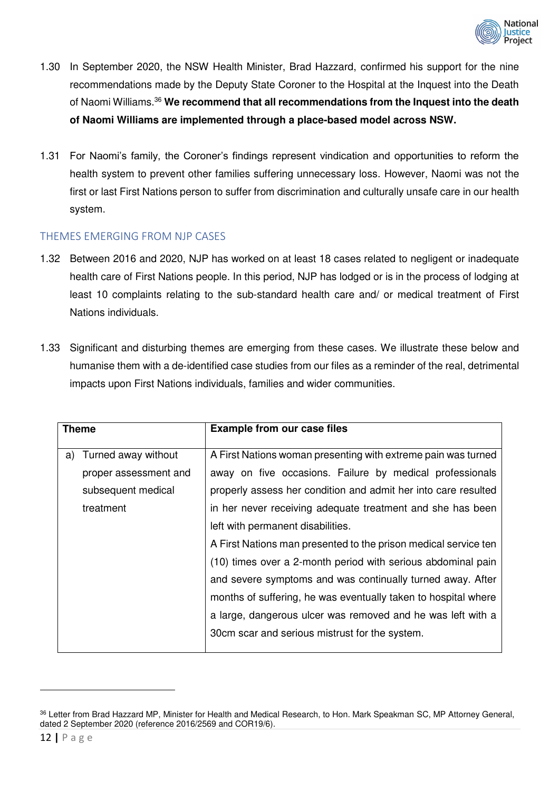

- 1.30 In September 2020, the NSW Health Minister, Brad Hazzard, confirmed his support for the nine recommendations made by the Deputy State Coroner to the Hospital at the Inquest into the Death of Naomi Williams.<sup>36</sup> **We recommend that all recommendations from the Inquest into the death of Naomi Williams are implemented through a place-based model across NSW.**
- 1.31 For Naomi's family, the Coroner's findings represent vindication and opportunities to reform the health system to prevent other families suffering unnecessary loss. However, Naomi was not the first or last First Nations person to suffer from discrimination and culturally unsafe care in our health system.

#### <span id="page-11-0"></span>THEMES EMERGING FROM NJP CASES

- 1.32 Between 2016 and 2020, NJP has worked on at least 18 cases related to negligent or inadequate health care of First Nations people. In this period, NJP has lodged or is in the process of lodging at least 10 complaints relating to the sub-standard health care and/ or medical treatment of First Nations individuals.
- 1.33 Significant and disturbing themes are emerging from these cases. We illustrate these below and humanise them with a de-identified case studies from our files as a reminder of the real, detrimental impacts upon First Nations individuals, families and wider communities.

| <b>Example from our case files</b>                              |
|-----------------------------------------------------------------|
|                                                                 |
| A First Nations woman presenting with extreme pain was turned   |
| away on five occasions. Failure by medical professionals        |
| properly assess her condition and admit her into care resulted  |
| in her never receiving adequate treatment and she has been      |
| left with permanent disabilities.                               |
| A First Nations man presented to the prison medical service ten |
| (10) times over a 2-month period with serious abdominal pain    |
| and severe symptoms and was continually turned away. After      |
| months of suffering, he was eventually taken to hospital where  |
| a large, dangerous ulcer was removed and he was left with a     |
| 30cm scar and serious mistrust for the system.                  |
|                                                                 |

<sup>36</sup> Letter from Brad Hazzard MP, Minister for Health and Medical Research, to Hon. Mark Speakman SC, MP Attorney General, dated 2 September 2020 (reference 2016/2569 and COR19/6).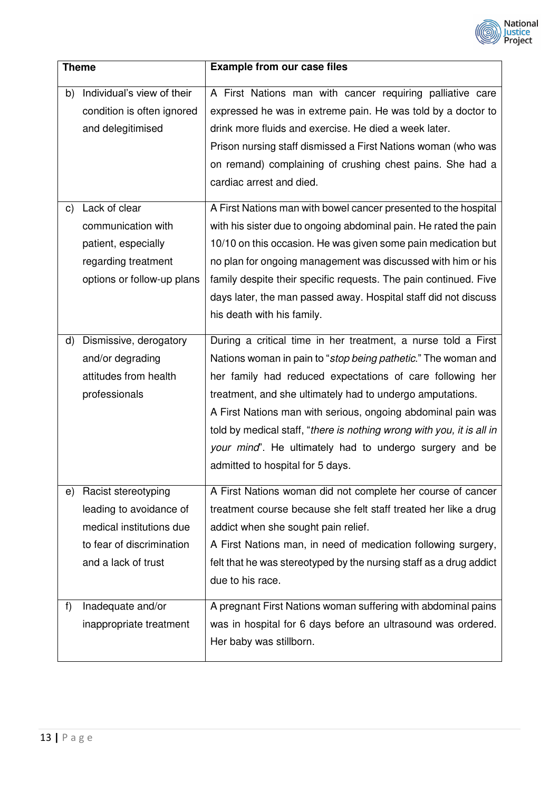

| <b>Theme</b> |                                                                                                                                | <b>Example from our case files</b>                                                                                                                                                                                                                                                                                                                                                                                                                                                               |
|--------------|--------------------------------------------------------------------------------------------------------------------------------|--------------------------------------------------------------------------------------------------------------------------------------------------------------------------------------------------------------------------------------------------------------------------------------------------------------------------------------------------------------------------------------------------------------------------------------------------------------------------------------------------|
| b)           | Individual's view of their<br>condition is often ignored<br>and delegitimised                                                  | A First Nations man with cancer requiring palliative care<br>expressed he was in extreme pain. He was told by a doctor to<br>drink more fluids and exercise. He died a week later.<br>Prison nursing staff dismissed a First Nations woman (who was<br>on remand) complaining of crushing chest pains. She had a<br>cardiac arrest and died.                                                                                                                                                     |
| C)           | Lack of clear<br>communication with<br>patient, especially<br>regarding treatment<br>options or follow-up plans                | A First Nations man with bowel cancer presented to the hospital<br>with his sister due to ongoing abdominal pain. He rated the pain<br>10/10 on this occasion. He was given some pain medication but<br>no plan for ongoing management was discussed with him or his<br>family despite their specific requests. The pain continued. Five<br>days later, the man passed away. Hospital staff did not discuss<br>his death with his family.                                                        |
| d)           | Dismissive, derogatory<br>and/or degrading<br>attitudes from health<br>professionals                                           | During a critical time in her treatment, a nurse told a First<br>Nations woman in pain to "stop being pathetic." The woman and<br>her family had reduced expectations of care following her<br>treatment, and she ultimately had to undergo amputations.<br>A First Nations man with serious, ongoing abdominal pain was<br>told by medical staff, "there is nothing wrong with you, it is all in<br>your mind". He ultimately had to undergo surgery and be<br>admitted to hospital for 5 days. |
| e)           | Racist stereotyping<br>leading to avoidance of<br>medical institutions due<br>to fear of discrimination<br>and a lack of trust | A First Nations woman did not complete her course of cancer<br>treatment course because she felt staff treated her like a drug<br>addict when she sought pain relief.<br>A First Nations man, in need of medication following surgery,<br>felt that he was stereotyped by the nursing staff as a drug addict<br>due to his race.                                                                                                                                                                 |
| f)           | Inadequate and/or<br>inappropriate treatment                                                                                   | A pregnant First Nations woman suffering with abdominal pains<br>was in hospital for 6 days before an ultrasound was ordered.<br>Her baby was stillborn.                                                                                                                                                                                                                                                                                                                                         |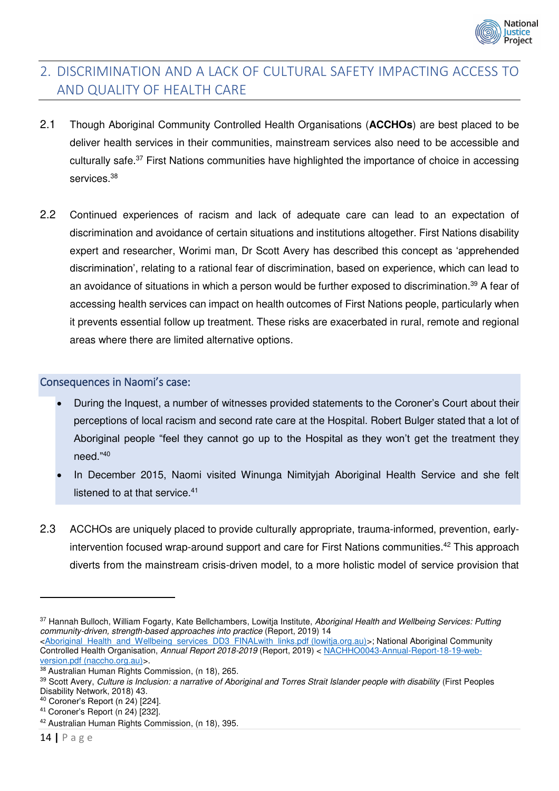

## <span id="page-13-0"></span>2. DISCRIMINATION AND A LACK OF CULTURAL SAFETY IMPACTING ACCESS TO AND QUALITY OF HEALTH CARE

- 2.1 Though Aboriginal Community Controlled Health Organisations (**ACCHOs**) are best placed to be deliver health services in their communities, mainstream services also need to be accessible and culturally safe.<sup>37</sup> First Nations communities have highlighted the importance of choice in accessing services.<sup>38</sup>
- 2.2 Continued experiences of racism and lack of adequate care can lead to an expectation of discrimination and avoidance of certain situations and institutions altogether. First Nations disability expert and researcher, Worimi man, Dr Scott Avery has described this concept as 'apprehended discrimination', relating to a rational fear of discrimination, based on experience, which can lead to an avoidance of situations in which a person would be further exposed to discrimination.<sup>39</sup> A fear of accessing health services can impact on health outcomes of First Nations people, particularly when it prevents essential follow up treatment. These risks are exacerbated in rural, remote and regional areas where there are limited alternative options.

#### <span id="page-13-1"></span>Consequences in Naomi's case:

- During the Inquest, a number of witnesses provided statements to the Coroner's Court about their perceptions of local racism and second rate care at the Hospital. Robert Bulger stated that a lot of Aboriginal people "feel they cannot go up to the Hospital as they won't get the treatment they need." 40
- In December 2015, Naomi visited Winunga Nimityjah Aboriginal Health Service and she felt listened to at that service.<sup>41</sup>
- 2.3 ACCHOs are uniquely placed to provide culturally appropriate, trauma-informed, prevention, earlyintervention focused wrap-around support and care for First Nations communities.<sup>42</sup> This approach diverts from the mainstream crisis-driven model, to a more holistic model of service provision that

<sup>37</sup> Hannah Bulloch, William Fogarty, Kate Bellchambers, Lowitja Institute, *Aboriginal Health and Wellbeing Services: Putting community-driven, strength-based approaches into practice* (Report, 2019) 14

[<sup>&</sup>lt;Aboriginal\\_Health\\_and\\_Wellbeing\\_services\\_DD3\\_FINALwith\\_links.pdf \(lowitja.org.au\)>](https://www.lowitja.org.au/content/Image/Aboriginal_Health_and_Wellbeing_services_DD3_FINALwith_links.pdf); National Aboriginal Community Controlled Health Organisation, *Annual Report 2018-2019* (Report, 2019) [< NACHHO0043-Annual-Report-18-19-web](https://www.naccho.org.au/wp-content/uploads/NACHHO0043-Annual-Report-18-19-web-version.pdf)[version.pdf \(naccho.org.au\)>](https://www.naccho.org.au/wp-content/uploads/NACHHO0043-Annual-Report-18-19-web-version.pdf).

<sup>38</sup> Australian Human Rights Commission, (n 18), 265.

<sup>39</sup> Scott Avery, *Culture is Inclusion: a narrative of Aboriginal and Torres Strait Islander people with disability (First Peoples* Disability Network, 2018) 43.

<sup>40</sup> Coroner's Report (n 24) [224].

<sup>41</sup> Coroner's Report (n 24) [232].

<sup>42</sup> Australian Human Rights Commission, (n 18), 395.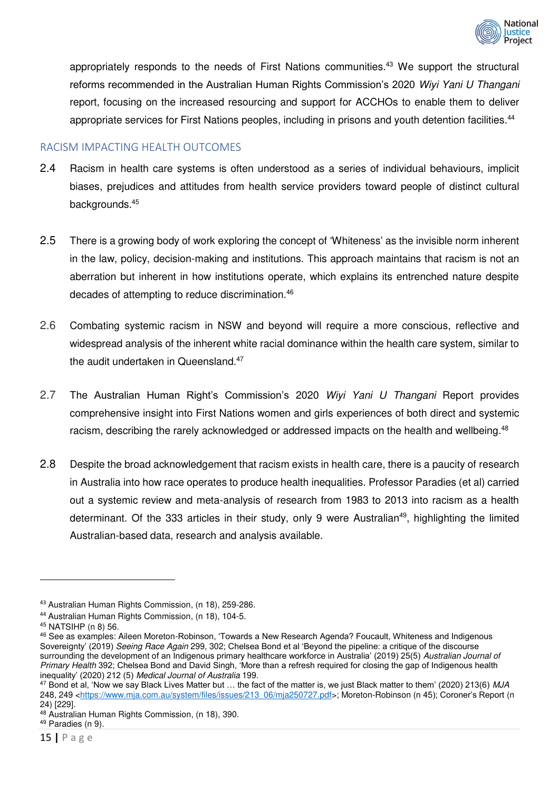

appropriately responds to the needs of First Nations communities.<sup>43</sup> We support the structural reforms recommended in the Australian Human Rights Commission's 2020 *Wiyi Yani U Thangani* report, focusing on the increased resourcing and support for ACCHOs to enable them to deliver appropriate services for First Nations peoples, including in prisons and youth detention facilities.<sup>44</sup>

#### <span id="page-14-0"></span>RACISM IMPACTING HEALTH OUTCOMES

- 2.4 Racism in health care systems is often understood as a series of individual behaviours, implicit biases, prejudices and attitudes from health service providers toward people of distinct cultural backgrounds.<sup>45</sup>
- 2.5 There is a growing body of work exploring the concept of 'Whiteness' as the invisible norm inherent in the law, policy, decision-making and institutions. This approach maintains that racism is not an aberration but inherent in how institutions operate, which explains its entrenched nature despite decades of attempting to reduce discrimination.<sup>46</sup>
- 2.6 Combating systemic racism in NSW and beyond will require a more conscious, reflective and widespread analysis of the inherent white racial dominance within the health care system, similar to the audit undertaken in Queensland.<sup>47</sup>
- 2.7 The Australian Human Right's Commission's 2020 *Wiyi Yani U Thangani* Report provides comprehensive insight into First Nations women and girls experiences of both direct and systemic racism, describing the rarely acknowledged or addressed impacts on the health and wellbeing.<sup>48</sup>
- 2.8 Despite the broad acknowledgement that racism exists in health care, there is a paucity of research in Australia into how race operates to produce health inequalities. Professor Paradies (et al) carried out a systemic review and meta-analysis of research from 1983 to 2013 into racism as a health determinant. Of the 333 articles in their study, only 9 were Australian<sup>49</sup>, highlighting the limited Australian-based data, research and analysis available.

<sup>43</sup> Australian Human Rights Commission, (n 18), 259-286.

<sup>44</sup> Australian Human Rights Commission, (n 18), 104-5.

<sup>45</sup> NATSIHP (n 8) 56.

<sup>46</sup> See as examples: Aileen Moreton-Robinson, 'Towards a New Research Agenda? Foucault, Whiteness and Indigenous Sovereignty' (2019) *Seeing Race Again* 299, 302; Chelsea Bond et al 'Beyond the pipeline: a critique of the discourse surrounding the development of an Indigenous primary healthcare workforce in Australia' (2019) 25(5) *Australian Journal of Primary Health* 392; Chelsea Bond and David Singh, 'More than a refresh required for closing the gap of Indigenous health inequality' (2020) 212 (5) *Medical Journal of Australia* 199.

<sup>47</sup> Bond et al, 'Now we say Black Lives Matter but … the fact of the matter is, we just Black matter to them' (2020) 213(6) *MJA* 248, 249 [<https://www.mja.com.au/system/files/issues/213\\_06/mja250727.pdf>](https://www.mja.com.au/system/files/issues/213_06/mja250727.pdf); Moreton-Robinson (n 45); Coroner's Report (n 24) [229].

<sup>48</sup> Australian Human Rights Commission, (n 18), 390. 49 Paradies (n 9).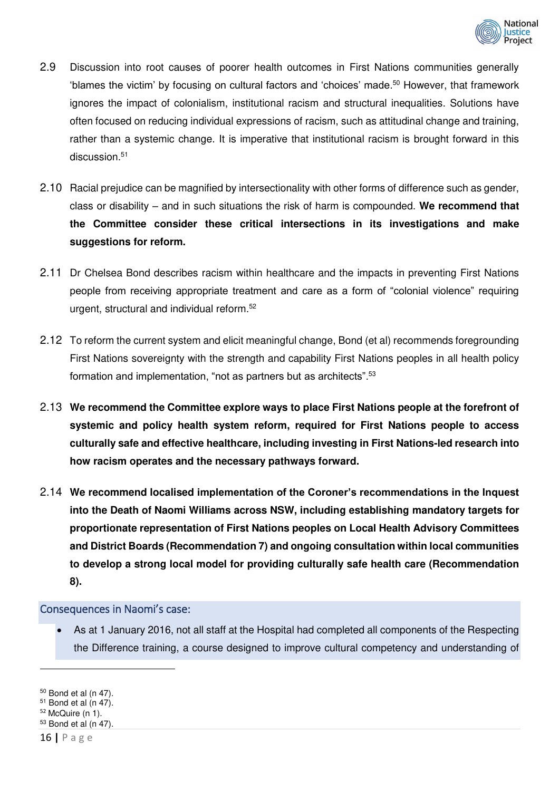

- 2.9 Discussion into root causes of poorer health outcomes in First Nations communities generally 'blames the victim' by focusing on cultural factors and 'choices' made.<sup>50</sup> However, that framework ignores the impact of colonialism, institutional racism and structural inequalities. Solutions have often focused on reducing individual expressions of racism, such as attitudinal change and training, rather than a systemic change. It is imperative that institutional racism is brought forward in this discussion.<sup>51</sup>
- 2.10 Racial prejudice can be magnified by intersectionality with other forms of difference such as gender, class or disability – and in such situations the risk of harm is compounded. **We recommend that the Committee consider these critical intersections in its investigations and make suggestions for reform.**
- 2.11 Dr Chelsea Bond describes racism within healthcare and the impacts in preventing First Nations people from receiving appropriate treatment and care as a form of "colonial violence" requiring urgent, structural and individual reform.<sup>52</sup>
- 2.12 To reform the current system and elicit meaningful change, Bond (et al) recommends foregrounding First Nations sovereignty with the strength and capability First Nations peoples in all health policy formation and implementation, "not as partners but as architects". $^{\rm 53}$
- 2.13 **We recommend the Committee explore ways to place First Nations people at the forefront of systemic and policy health system reform, required for First Nations people to access culturally safe and effective healthcare, including investing in First Nations-led research into how racism operates and the necessary pathways forward.**
- 2.14 **We recommend localised implementation of the Coroner's recommendations in the Inquest into the Death of Naomi Williams across NSW, including establishing mandatory targets for proportionate representation of First Nations peoples on Local Health Advisory Committees and District Boards (Recommendation 7) and ongoing consultation within local communities to develop a strong local model for providing culturally safe health care (Recommendation 8).**

<span id="page-15-0"></span>Consequences in Naomi's case:

 As at 1 January 2016, not all staff at the Hospital had completed all components of the Respecting the Difference training, a course designed to improve cultural competency and understanding of

<sup>50</sup> Bond et al (n 47).

<sup>51</sup> Bond et al (n 47).

 $52$  McQuire (n 1). 53 Bond et al (n 47).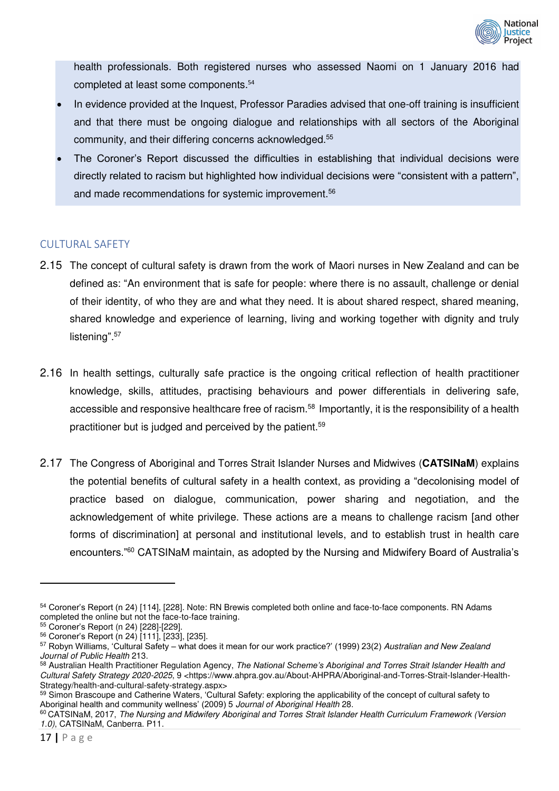

health professionals. Both registered nurses who assessed Naomi on 1 January 2016 had completed at least some components.<sup>54</sup>

- In evidence provided at the Inquest, Professor Paradies advised that one-off training is insufficient and that there must be ongoing dialogue and relationships with all sectors of the Aboriginal community, and their differing concerns acknowledged.<sup>55</sup>
- The Coroner's Report discussed the difficulties in establishing that individual decisions were directly related to racism but highlighted how individual decisions were "consistent with a pattern", and made recommendations for systemic improvement.<sup>56</sup>

#### <span id="page-16-0"></span>CULTURAL SAFETY

- 2.15 The concept of cultural safety is drawn from the work of Maori nurses in New Zealand and can be defined as: "An environment that is safe for people: where there is no assault, challenge or denial of their identity, of who they are and what they need. It is about shared respect, shared meaning, shared knowledge and experience of learning, living and working together with dignity and truly listening". 57
- 2.16 In health settings, culturally safe practice is the ongoing critical reflection of health practitioner knowledge, skills, attitudes, practising behaviours and power differentials in delivering safe, accessible and responsive healthcare free of racism.<sup>58</sup> Importantly, it is the responsibility of a health practitioner but is judged and perceived by the patient.<sup>59</sup>
- 2.17 The Congress of Aboriginal and Torres Strait Islander Nurses and Midwives (**CATSINaM**) explains the potential benefits of cultural safety in a health context, as providing a "decolonising model of practice based on dialogue, communication, power sharing and negotiation, and the acknowledgement of white privilege. These actions are a means to challenge racism [and other forms of discrimination] at personal and institutional levels, and to establish trust in health care encounters."<sup>60</sup> CATSINaM maintain, as adopted by the Nursing and Midwifery Board of Australia's

<sup>54</sup> Coroner's Report (n 24) [114], [228]. Note: RN Brewis completed both online and face-to-face components. RN Adams completed the online but not the face-to-face training.

<sup>55</sup> Coroner's Report (n 24) [228]-[229].

<sup>56</sup> Coroner's Report (n 24) [111], [233], [235].

<sup>57</sup> Robyn Williams, 'Cultural Safety – what does it mean for our work practice?' (1999) 23(2) *Australian and New Zealand Journal of Public Health* 213.

<sup>58</sup> Australian Health Practitioner Regulation Agency, *The National Scheme's Aboriginal and Torres Strait Islander Health and Cultural Safety Strategy 2020-2025*, 9 <https://www.ahpra.gov.au/About-AHPRA/Aboriginal-and-Torres-Strait-Islander-Health-Strategy/health-and-cultural-safety-strategy.aspx>

 $^{59}$  Simon Brascoupe and Catherine Waters, 'Cultural Safety: exploring the applicability of the concept of cultural safety to Aboriginal health and community wellness' (2009) 5 *Journal of Aboriginal Health* 28.

<sup>60</sup> CATSINaM, 2017, *The Nursing and Midwifery Aboriginal and Torres Strait Islander Health Curriculum Framework (Version 1.0)*, CATSINaM, Canberra. P11.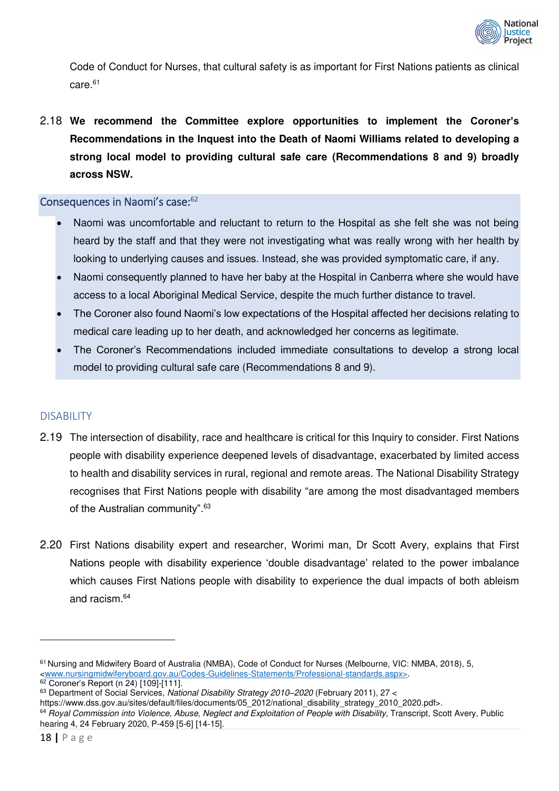

Code of Conduct for Nurses, that cultural safety is as important for First Nations patients as clinical care.<sup>61</sup>

2.18 **We recommend the Committee explore opportunities to implement the Coroner's Recommendations in the Inquest into the Death of Naomi Williams related to developing a strong local model to providing cultural safe care (Recommendations 8 and 9) broadly across NSW.** 

<span id="page-17-0"></span>Consequences in Naomi's case: 62

- Naomi was uncomfortable and reluctant to return to the Hospital as she felt she was not being heard by the staff and that they were not investigating what was really wrong with her health by looking to underlying causes and issues. Instead, she was provided symptomatic care, if any.
- Naomi consequently planned to have her baby at the Hospital in Canberra where she would have access to a local Aboriginal Medical Service, despite the much further distance to travel.
- The Coroner also found Naomi's low expectations of the Hospital affected her decisions relating to medical care leading up to her death, and acknowledged her concerns as legitimate.
- The Coroner's Recommendations included immediate consultations to develop a strong local model to providing cultural safe care (Recommendations 8 and 9).

#### <span id="page-17-1"></span>DISABILITY

- 2.19 The intersection of disability, race and healthcare is critical for this Inquiry to consider. First Nations people with disability experience deepened levels of disadvantage, exacerbated by limited access to health and disability services in rural, regional and remote areas. The National Disability Strategy recognises that First Nations people with disability "are among the most disadvantaged members of the Australian community". 63
- 2.20 First Nations disability expert and researcher, Worimi man, Dr Scott Avery, explains that First Nations people with disability experience 'double disadvantage' related to the power imbalance which causes First Nations people with disability to experience the dual impacts of both ableism and racism.<sup>64</sup>

<sup>61</sup> Nursing and Midwifery Board of Australia (NMBA), Code of Conduct for Nurses (Melbourne, VIC: NMBA, 2018), 5, [<www.nursingmidwiferyboard.gov.au/Codes-Guidelines-Statements/Professional-standards.aspx>](http://www.nursingmidwiferyboard.gov.au/Codes-Guidelines-Statements/Professional-standards.aspx).

<sup>62</sup> Coroner's Report (n 24) [109]-[111].

<sup>63</sup> Department of Social Services, *National Disability Strategy 2010–2020* (February 2011), 27 <

https://www.dss.gov.au/sites/default/files/documents/05\_2012/national\_disability\_strategy\_2010\_2020.pdf>.

<sup>64</sup> *Royal Commission into Violence, Abuse, Neglect and Exploitation of People with Disability*, Transcript, Scott Avery, Public hearing 4, 24 February 2020, P-459 [5-6] [14-15].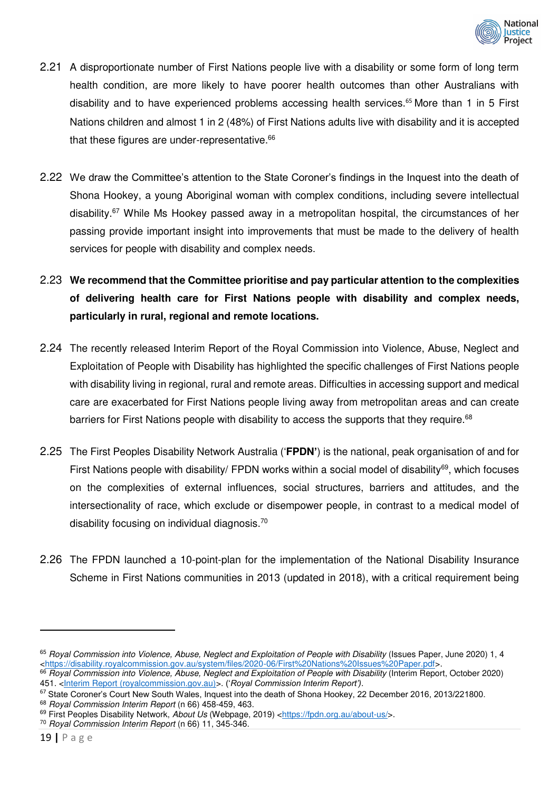

- 2.21 A disproportionate number of First Nations people live with a disability or some form of long term health condition, are more likely to have poorer health outcomes than other Australians with disability and to have experienced problems accessing health services.<sup>65</sup> More than 1 in 5 First Nations children and almost 1 in 2 (48%) of First Nations adults live with disability and it is accepted that these figures are under-representative.<sup>66</sup>
- 2.22 We draw the Committee's attention to the State Coroner's findings in the Inquest into the death of Shona Hookey, a young Aboriginal woman with complex conditions, including severe intellectual disability.<sup>67</sup> While Ms Hookey passed away in a metropolitan hospital, the circumstances of her passing provide important insight into improvements that must be made to the delivery of health services for people with disability and complex needs.
- 2.23 **We recommend that the Committee prioritise and pay particular attention to the complexities of delivering health care for First Nations people with disability and complex needs, particularly in rural, regional and remote locations.**
- 2.24 The recently released Interim Report of the Royal Commission into Violence, Abuse, Neglect and Exploitation of People with Disability has highlighted the specific challenges of First Nations people with disability living in regional, rural and remote areas. Difficulties in accessing support and medical care are exacerbated for First Nations people living away from metropolitan areas and can create barriers for First Nations people with disability to access the supports that they require.<sup>68</sup>
- 2.25 The First Peoples Disability Network Australia ('**FPDN'**) is the national, peak organisation of and for First Nations people with disability/ FPDN works within a social model of disability<sup>69</sup>, which focuses on the complexities of external influences, social structures, barriers and attitudes, and the intersectionality of race, which exclude or disempower people, in contrast to a medical model of disability focusing on individual diagnosis.<sup>70</sup>
- 2.26 The FPDN launched a 10-point-plan for the implementation of the National Disability Insurance Scheme in First Nations communities in 2013 (updated in 2018), with a critical requirement being

l

<sup>65</sup> *Royal Commission into Violence, Abuse, Neglect and Exploitation of People with Disability* (Issues Paper, June 2020) 1, 4 [<https://disability.royalcommission.gov.au/system/files/2020-06/First%20Nations%20Issues%20Paper.pdf>](https://disability.royalcommission.gov.au/system/files/2020-06/First%20Nations%20Issues%20Paper.pdf).

<sup>66</sup> *Royal Commission into Violence, Abuse, Neglect and Exploitation of People with Disability* (Interim Report, October 2020) 451. [<Interim Report \(royalcommission.gov.au\)>](https://disability.royalcommission.gov.au/system/files/2020-10/Interim%20Report.pdf). ('*Royal Commission Interim Report')*.

<sup>&</sup>lt;sup>67</sup> State Coroner's Court New South Wales, Inquest into the death of Shona Hookey, 22 December 2016, 2013/221800. <sup>68</sup> *Royal Commission Interim Report* (n 66) 458-459, 463.

<sup>69</sup> First Peoples Disability Network, *About Us* (Webpage, 2019) [<https://fpdn.org.au/about-us/>](https://fpdn.org.au/about-us/).

<sup>70</sup> *Royal Commission Interim Report* (n 66) 11, 345-346.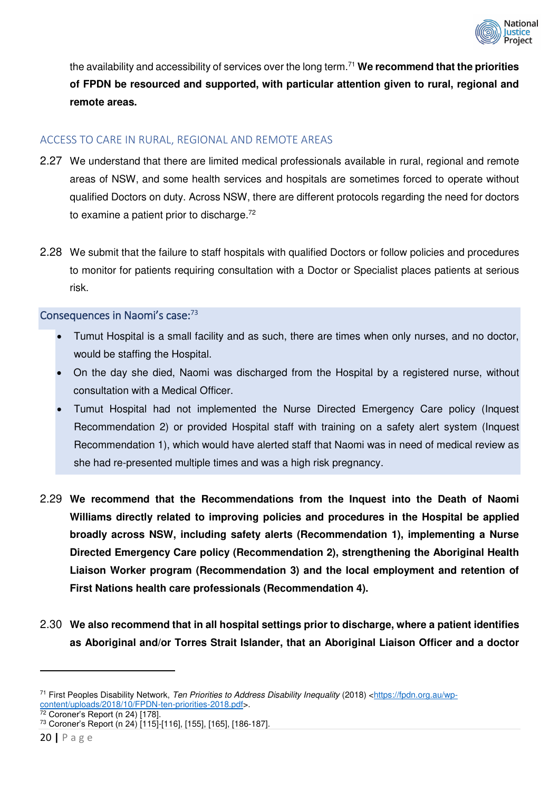

the availability and accessibility of services over the long term.<sup>71</sup> **We recommend that the priorities of FPDN be resourced and supported, with particular attention given to rural, regional and remote areas.**

#### ACCESS TO CARE IN RURAL, REGIONAL AND REMOTE AREAS

- 2.27 We understand that there are limited medical professionals available in rural, regional and remote areas of NSW, and some health services and hospitals are sometimes forced to operate without qualified Doctors on duty. Across NSW, there are different protocols regarding the need for doctors to examine a patient prior to discharge. $^{72}$
- 2.28 We submit that the failure to staff hospitals with qualified Doctors or follow policies and procedures to monitor for patients requiring consultation with a Doctor or Specialist places patients at serious risk.

#### <span id="page-19-0"></span>Consequences in Naomi's case: 73

- Tumut Hospital is a small facility and as such, there are times when only nurses, and no doctor, would be staffing the Hospital.
- On the day she died, Naomi was discharged from the Hospital by a registered nurse, without consultation with a Medical Officer.
- Tumut Hospital had not implemented the Nurse Directed Emergency Care policy (Inquest Recommendation 2) or provided Hospital staff with training on a safety alert system (Inquest Recommendation 1), which would have alerted staff that Naomi was in need of medical review as she had re-presented multiple times and was a high risk pregnancy.
- 2.29 **We recommend that the Recommendations from the Inquest into the Death of Naomi Williams directly related to improving policies and procedures in the Hospital be applied broadly across NSW, including safety alerts (Recommendation 1), implementing a Nurse Directed Emergency Care policy (Recommendation 2), strengthening the Aboriginal Health Liaison Worker program (Recommendation 3) and the local employment and retention of First Nations health care professionals (Recommendation 4).**
- 2.30 **We also recommend that in all hospital settings prior to discharge, where a patient identifies as Aboriginal and/or Torres Strait Islander, that an Aboriginal Liaison Officer and a doctor**

<sup>71</sup> First Peoples Disability Network, *Ten Priorities to Address Disability Inequality* (2018) [<https://fpdn.org.au/wp](https://fpdn.org.au/wp-content/uploads/2018/10/FPDN-ten-priorities-2018.pdf)[content/uploads/2018/10/FPDN-ten-priorities-2018.pdf>](https://fpdn.org.au/wp-content/uploads/2018/10/FPDN-ten-priorities-2018.pdf). **Corner Trup Tours 2018**<br><sup>72</sup> Coroner's Report (n 24) [178].

<sup>73</sup> Coroner's Report (n 24) [115]-[116], [155], [165], [186-187].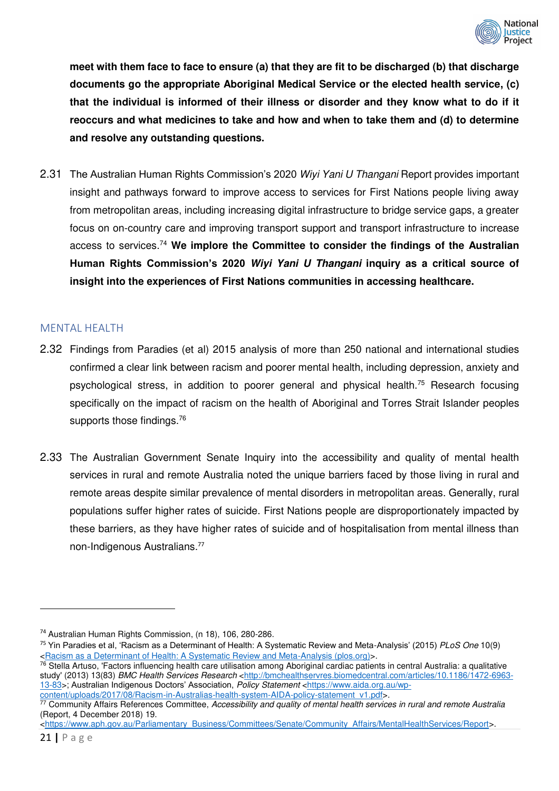

**meet with them face to face to ensure (a) that they are fit to be discharged (b) that discharge documents go the appropriate Aboriginal Medical Service or the elected health service, (c) that the individual is informed of their illness or disorder and they know what to do if it reoccurs and what medicines to take and how and when to take them and (d) to determine and resolve any outstanding questions.** 

2.31 The Australian Human Rights Commission's 2020 *Wiyi Yani U Thangani* Report provides important insight and pathways forward to improve access to services for First Nations people living away from metropolitan areas, including increasing digital infrastructure to bridge service gaps, a greater focus on on-country care and improving transport support and transport infrastructure to increase access to services.<sup>74</sup> **We implore the Committee to consider the findings of the Australian Human Rights Commission's 2020** *Wiyi Yani U Thangani* **inquiry as a critical source of insight into the experiences of First Nations communities in accessing healthcare.**

#### MENTAL HEALTH

- 2.32 Findings from Paradies (et al) 2015 analysis of more than 250 national and international studies confirmed a clear link between racism and poorer mental health, including depression, anxiety and psychological stress, in addition to poorer general and physical health.<sup>75</sup> Research focusing specifically on the impact of racism on the health of Aboriginal and Torres Strait Islander peoples supports those findings.<sup>76</sup>
- 2.33 The Australian Government Senate Inquiry into the accessibility and quality of mental health services in rural and remote Australia noted the unique barriers faced by those living in rural and remote areas despite similar prevalence of mental disorders in metropolitan areas. Generally, rural populations suffer higher rates of suicide. First Nations people are disproportionately impacted by these barriers, as they have higher rates of suicide and of hospitalisation from mental illness than non-Indigenous Australians.<sup>77</sup>

<sup>74</sup> Australian Human Rights Commission, (n 18), 106, 280-286.

<sup>75</sup> Yin Paradies et al, 'Racism as a Determinant of Health: A Systematic Review and Meta-Analysis' (2015) *PLoS One* 10(9) [<Racism as a Determinant of Health: A Systematic Review and Meta-Analysis \(plos.org\)>](https://journals.plos.org/plosone/article?id=10.1371/journal.pone.0138511).

<sup>&</sup>lt;sup>76</sup> Stella Artuso, 'Factors influencing health care utilisation among Aboriginal cardiac patients in central Australia: a qualitative study' (2013) 13(83) *BMC Health Services Research* [<http://bmchealthservres.biomedcentral.com/articles/10.1186/1472-6963-](http://bmchealthservres.biomedcentral.com/articles/10.1186/1472-6963-13-83) [13-83>](http://bmchealthservres.biomedcentral.com/articles/10.1186/1472-6963-13-83); Australian Indigenous Doctors' Association, *Policy Statement* [<https://www.aida.org.au/wp-](https://www.aida.org.au/wp-content/uploads/2017/08/Racism-in-Australias-health-system-AIDA-policy-statement_v1.pdf)

[content/uploads/2017/08/Racism-in-Australias-health-system-AIDA-policy-statement\\_v1.pdf>](https://www.aida.org.au/wp-content/uploads/2017/08/Racism-in-Australias-health-system-AIDA-policy-statement_v1.pdf). <sup>77</sup> Community Affairs References Committee, *Accessibility and quality of mental health services in rural and remote Australia*  (Report, 4 December 2018) 19.

[<sup>&</sup>lt;https://www.aph.gov.au/Parliamentary\\_Business/Committees/Senate/Community\\_Affairs/MentalHealthServices/Report>](https://www.aph.gov.au/Parliamentary_Business/Committees/Senate/Community_Affairs/MentalHealthServices/Report).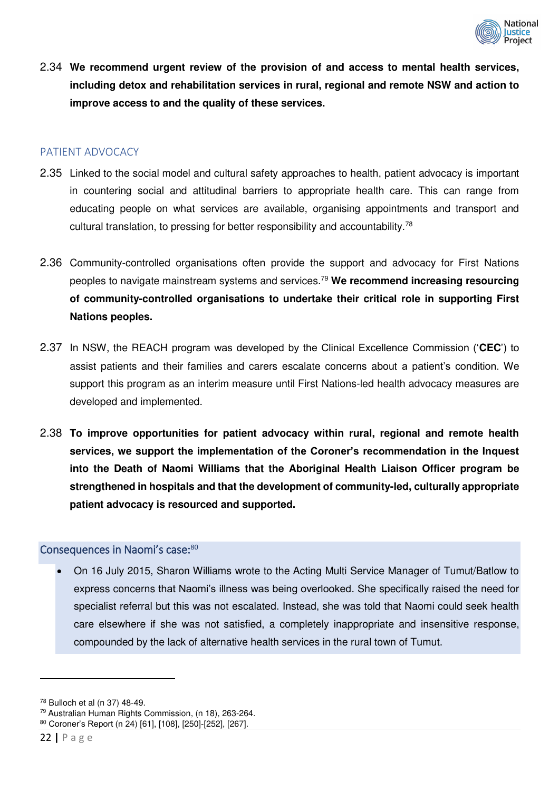

2.34 **We recommend urgent review of the provision of and access to mental health services, including detox and rehabilitation services in rural, regional and remote NSW and action to improve access to and the quality of these services.** 

#### <span id="page-21-0"></span>PATIENT ADVOCACY

- 2.35 Linked to the social model and cultural safety approaches to health, patient advocacy is important in countering social and attitudinal barriers to appropriate health care. This can range from educating people on what services are available, organising appointments and transport and cultural translation, to pressing for better responsibility and accountability.<sup>78</sup>
- 2.36 Community-controlled organisations often provide the support and advocacy for First Nations peoples to navigate mainstream systems and services.<sup>79</sup> **We recommend increasing resourcing of community-controlled organisations to undertake their critical role in supporting First Nations peoples.**
- 2.37 In NSW, the REACH program was developed by the Clinical Excellence Commission ('**CEC**') to assist patients and their families and carers escalate concerns about a patient's condition. We support this program as an interim measure until First Nations-led health advocacy measures are developed and implemented.
- 2.38 **To improve opportunities for patient advocacy within rural, regional and remote health services, we support the implementation of the Coroner's recommendation in the Inquest into the Death of Naomi Williams that the Aboriginal Health Liaison Officer program be strengthened in hospitals and that the development of community-led, culturally appropriate patient advocacy is resourced and supported.**

#### <span id="page-21-1"></span>Consequences in Naomi's case: 80

 On 16 July 2015, Sharon Williams wrote to the Acting Multi Service Manager of Tumut/Batlow to express concerns that Naomi's illness was being overlooked. She specifically raised the need for specialist referral but this was not escalated. Instead, she was told that Naomi could seek health care elsewhere if she was not satisfied, a completely inappropriate and insensitive response, compounded by the lack of alternative health services in the rural town of Tumut.

<sup>78</sup> Bulloch et al (n 37) 48-49.

<sup>79</sup> Australian Human Rights Commission, (n 18), 263-264.

<sup>80</sup> Coroner's Report (n 24) [61], [108], [250]-[252], [267].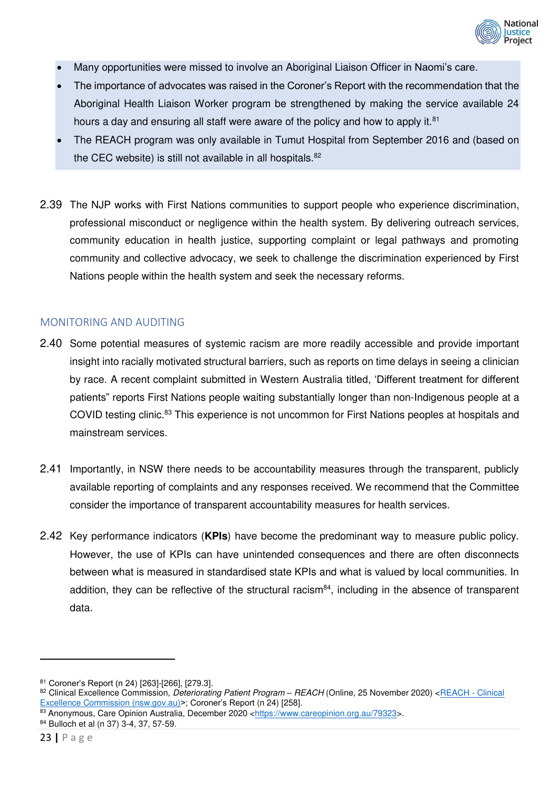

- Many opportunities were missed to involve an Aboriginal Liaison Officer in Naomi's care.
- The importance of advocates was raised in the Coroner's Report with the recommendation that the Aboriginal Health Liaison Worker program be strengthened by making the service available 24 hours a day and ensuring all staff were aware of the policy and how to apply it.<sup>81</sup>
- The REACH program was only available in Tumut Hospital from September 2016 and (based on the CEC website) is still not available in all hospitals.<sup>82</sup>
- 2.39 The NJP works with First Nations communities to support people who experience discrimination, professional misconduct or negligence within the health system. By delivering outreach services, community education in health justice, supporting complaint or legal pathways and promoting community and collective advocacy, we seek to challenge the discrimination experienced by First Nations people within the health system and seek the necessary reforms.

#### <span id="page-22-0"></span>MONITORING AND AUDITING

- 2.40 Some potential measures of systemic racism are more readily accessible and provide important insight into racially motivated structural barriers, such as reports on time delays in seeing a clinician by race. A recent complaint submitted in Western Australia titled, 'Different treatment for different patients" reports First Nations people waiting substantially longer than non-Indigenous people at a COVID testing clinic.<sup>83</sup> This experience is not uncommon for First Nations peoples at hospitals and mainstream services.
- 2.41 Importantly, in NSW there needs to be accountability measures through the transparent, publicly available reporting of complaints and any responses received. We recommend that the Committee consider the importance of transparent accountability measures for health services.
- 2.42 Key performance indicators (**KPIs**) have become the predominant way to measure public policy. However, the use of KPIs can have unintended consequences and there are often disconnects between what is measured in standardised state KPIs and what is valued by local communities. In addition, they can be reflective of the structural racism $84$ , including in the absence of transparent data.

<sup>81</sup> Coroner's Report (n 24) [263]-[266], [279.3].

<sup>82</sup> Clinical Excellence Commission, *Deteriorating Patient Program - REACH* (Online, 25 November 2020) <REACH - Clinical [Excellence Commission \(nsw.gov.au\)](https://www.cec.health.nsw.gov.au/keep-patients-safe/Deteriorating-patient-program/reach)>; Coroner's Report (n 24) [258].

<sup>83</sup> Anonymous, Care Opinion Australia, December 2020 [<https://www.careopinion.org.au/79323>](https://www.careopinion.org.au/79323).

<sup>84</sup> Bulloch et al (n 37) 3-4, 37, 57-59.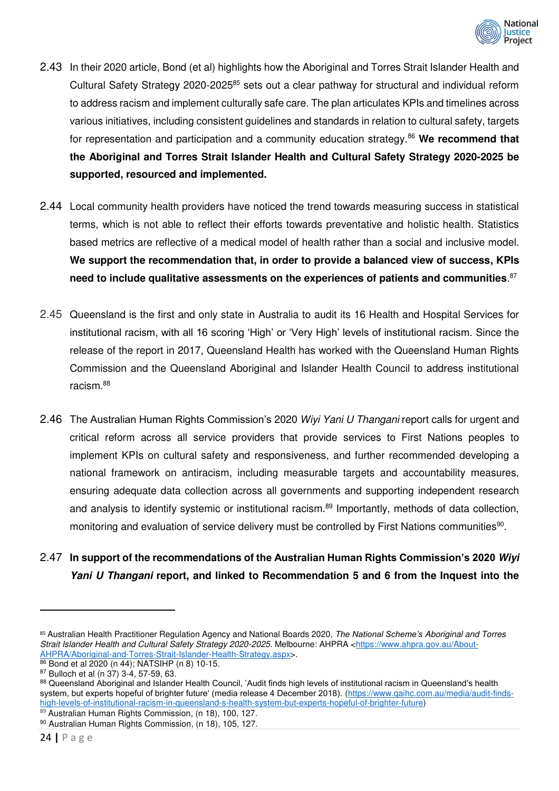

- 2.43 In their 2020 article, Bond (et al) highlights how the Aboriginal and Torres Strait Islander Health and Cultural Safety Strategy 2020-2025<sup>85</sup> sets out a clear pathway for structural and individual reform to address racism and implement culturally safe care. The plan articulates KPIs and timelines across various initiatives, including consistent guidelines and standards in relation to cultural safety, targets for representation and participation and a community education strategy.<sup>86</sup> **We recommend that the Aboriginal and Torres Strait Islander Health and Cultural Safety Strategy 2020-2025 be supported, resourced and implemented.**
- 2.44 Local community health providers have noticed the trend towards measuring success in statistical terms, which is not able to reflect their efforts towards preventative and holistic health. Statistics based metrics are reflective of a medical model of health rather than a social and inclusive model. **We support the recommendation that, in order to provide a balanced view of success, KPIs need to include qualitative assessments on the experiences of patients and communities**. 87
- 2.45 Queensland is the first and only state in Australia to audit its 16 Health and Hospital Services for institutional racism, with all 16 scoring 'High' or 'Very High' levels of institutional racism. Since the release of the report in 2017, Queensland Health has worked with the Queensland Human Rights Commission and the Queensland Aboriginal and Islander Health Council to address institutional racism.<sup>88</sup>
- 2.46 The Australian Human Rights Commission's 2020 *Wiyi Yani U Thangani* report calls for urgent and critical reform across all service providers that provide services to First Nations peoples to implement KPIs on cultural safety and responsiveness, and further recommended developing a national framework on antiracism, including measurable targets and accountability measures, ensuring adequate data collection across all governments and supporting independent research and analysis to identify systemic or institutional racism.<sup>89</sup> Importantly, methods of data collection, monitoring and evaluation of service delivery must be controlled by First Nations communities<sup>90</sup>.
- 2.47 **In support of the recommendations of the Australian Human Rights Commission's 2020** *Wiyi Yani U Thangani* **report, and linked to Recommendation 5 and 6 from the Inquest into the**

<sup>85</sup> Australian Health Practitioner Regulation Agency and National Boards 2020, *The National Scheme's Aboriginal and Torres Strait Islander Health and Cultural Safety Strategy 2020-2025*. Melbourne: AHPRA [<https://www.ahpra.gov.au/About-](https://www.ahpra.gov.au/About-AHPRA/Aboriginal-and-Torres-Strait-Islander-Health-Strategy.aspx)[AHPRA/Aboriginal-and-Torres-Strait-Islander-Health-Strategy.aspx>](https://www.ahpra.gov.au/About-AHPRA/Aboriginal-and-Torres-Strait-Islander-Health-Strategy.aspx).

<sup>86</sup> Bond et al 2020 (n 44); NATSIHP (n 8) 10-15.

<sup>87</sup> Bulloch et al (n 37) 3-4, 57-59, 63.

<sup>88</sup> Queensland Aboriginal and Islander Health Council, 'Audit finds high levels of institutional racism in Queensland's health system, but experts hopeful of brighter future' (media release 4 December 2018). [\(https://www.qaihc.com.au/media/audit-finds](https://www.qaihc.com.au/media/audit-finds-high-levels-of-institutional-racism-in-queensland-s-health-system-but-experts-hopeful-of-brighter-future)[high-levels-of-institutional-racism-in-queensland-s-health-system-but-experts-hopeful-of-brighter-future\)](https://www.qaihc.com.au/media/audit-finds-high-levels-of-institutional-racism-in-queensland-s-health-system-but-experts-hopeful-of-brighter-future)

<sup>89</sup> Australian Human Rights Commission, (n 18), 100, 127.

<sup>90</sup> Australian Human Rights Commission, (n 18), 105, 127.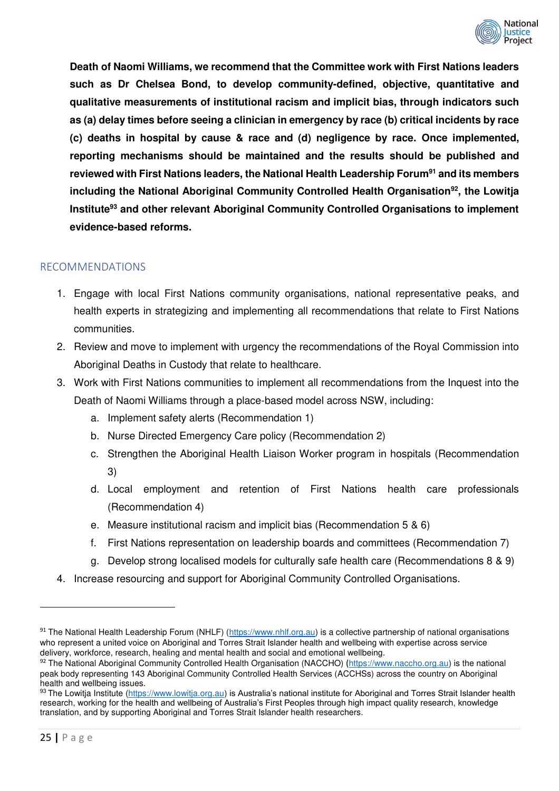

**Death of Naomi Williams, we recommend that the Committee work with First Nations leaders such as Dr Chelsea Bond, to develop community-defined, objective, quantitative and qualitative measurements of institutional racism and implicit bias, through indicators such as (a) delay times before seeing a clinician in emergency by race (b) critical incidents by race (c) deaths in hospital by cause & race and (d) negligence by race. Once implemented, reporting mechanisms should be maintained and the results should be published and reviewed with First Nations leaders, the National Health Leadership Forum<sup>91</sup> and its members including the National Aboriginal Community Controlled Health Organisation<sup>92</sup>, the Lowitja Institute<sup>93</sup> and other relevant Aboriginal Community Controlled Organisations to implement evidence-based reforms.**

#### <span id="page-24-0"></span>RECOMMENDATIONS

- 1. Engage with local First Nations community organisations, national representative peaks, and health experts in strategizing and implementing all recommendations that relate to First Nations communities.
- 2. Review and move to implement with urgency the recommendations of the Royal Commission into Aboriginal Deaths in Custody that relate to healthcare.
- 3. Work with First Nations communities to implement all recommendations from the Inquest into the Death of Naomi Williams through a place-based model across NSW, including:
	- a. Implement safety alerts (Recommendation 1)
	- b. Nurse Directed Emergency Care policy (Recommendation 2)
	- c. Strengthen the Aboriginal Health Liaison Worker program in hospitals (Recommendation 3)
	- d. Local employment and retention of First Nations health care professionals (Recommendation 4)
	- e. Measure institutional racism and implicit bias (Recommendation 5 & 6)
	- f. First Nations representation on leadership boards and committees (Recommendation 7)
	- g. Develop strong localised models for culturally safe health care (Recommendations 8 & 9)
- 4. Increase resourcing and support for Aboriginal Community Controlled Organisations.

<sup>91</sup> The National Health Leadership Forum (NHLF) [\(https://www.nhlf.org.au\)](https://www.nhlf.org.au/) is a collective partnership of national organisations who represent a united voice on Aboriginal and Torres Strait Islander health and wellbeing with expertise across service delivery, workforce, research, healing and mental health and social and emotional wellbeing.

<sup>92</sup> The National Aboriginal Community Controlled Health Organisation (NACCHO) ([https://www.naccho.org.au\)](https://www.naccho.org.au/) is the national peak body representing 143 Aboriginal Community Controlled Health Services (ACCHSs) across the country on Aboriginal health and wellbeing issues.

<sup>93</sup> The Lowitja Institute [\(https://www.lowitja.org.au\)](https://www.lowitja.org.au/) is Australia's national institute for Aboriginal and Torres Strait Islander health research, working for the health and wellbeing of Australia's First Peoples through high impact quality research, knowledge translation, and by supporting Aboriginal and Torres Strait Islander health researchers.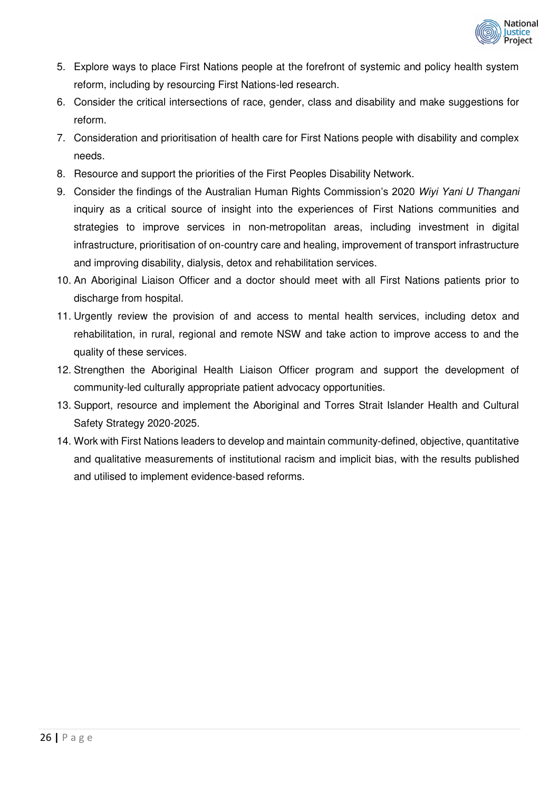

- 5. Explore ways to place First Nations people at the forefront of systemic and policy health system reform, including by resourcing First Nations-led research.
- 6. Consider the critical intersections of race, gender, class and disability and make suggestions for reform.
- 7. Consideration and prioritisation of health care for First Nations people with disability and complex needs.
- 8. Resource and support the priorities of the First Peoples Disability Network.
- 9. Consider the findings of the Australian Human Rights Commission's 2020 *Wiyi Yani U Thangani* inquiry as a critical source of insight into the experiences of First Nations communities and strategies to improve services in non-metropolitan areas, including investment in digital infrastructure, prioritisation of on-country care and healing, improvement of transport infrastructure and improving disability, dialysis, detox and rehabilitation services.
- 10. An Aboriginal Liaison Officer and a doctor should meet with all First Nations patients prior to discharge from hospital.
- 11. Urgently review the provision of and access to mental health services, including detox and rehabilitation, in rural, regional and remote NSW and take action to improve access to and the quality of these services.
- 12. Strengthen the Aboriginal Health Liaison Officer program and support the development of community-led culturally appropriate patient advocacy opportunities.
- 13. Support, resource and implement the Aboriginal and Torres Strait Islander Health and Cultural Safety Strategy 2020-2025.
- 14. Work with First Nations leaders to develop and maintain community-defined, objective, quantitative and qualitative measurements of institutional racism and implicit bias, with the results published and utilised to implement evidence-based reforms.